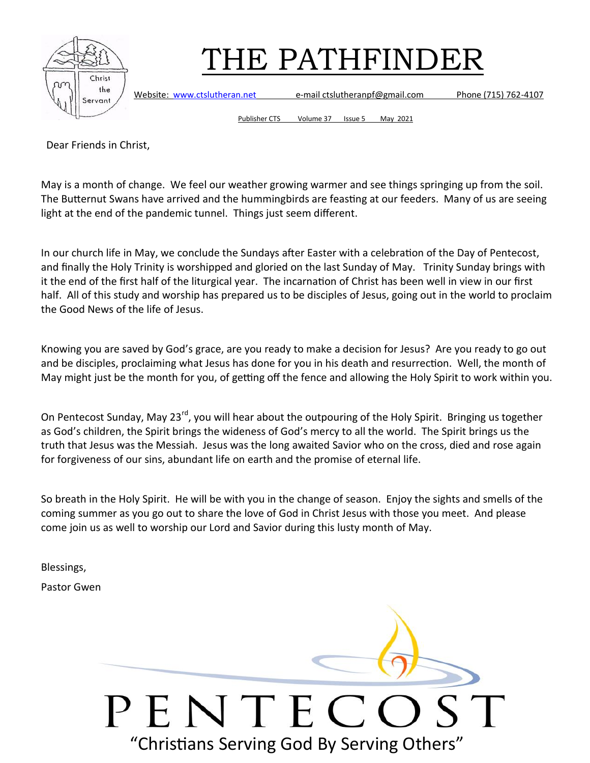



Website: [www.ctslutheran.net](http://www.ctslutheran.net/) e-mail ctslutheranpf@gmail.com Phone (715) 762-4107

Publisher CTS Volume 37 Issue 5 May 2021

Dear Friends in Christ,

May is a month of change. We feel our weather growing warmer and see things springing up from the soil. The Butternut Swans have arrived and the hummingbirds are feasting at our feeders. Many of us are seeing light at the end of the pandemic tunnel. Things just seem different.

In our church life in May, we conclude the Sundays after Easter with a celebration of the Day of Pentecost, and finally the Holy Trinity is worshipped and gloried on the last Sunday of May. Trinity Sunday brings with it the end of the first half of the liturgical year. The incarnation of Christ has been well in view in our first half. All of this study and worship has prepared us to be disciples of Jesus, going out in the world to proclaim the Good News of the life of Jesus.

Knowing you are saved by God's grace, are you ready to make a decision for Jesus? Are you ready to go out and be disciples, proclaiming what Jesus has done for you in his death and resurrection. Well, the month of May might just be the month for you, of getting off the fence and allowing the Holy Spirit to work within you.

On Pentecost Sunday, May 23<sup>rd</sup>, you will hear about the outpouring of the Holy Spirit. Bringing us together as God's children, the Spirit brings the wideness of God's mercy to all the world. The Spirit brings us the truth that Jesus was the Messiah. Jesus was the long awaited Savior who on the cross, died and rose again for forgiveness of our sins, abundant life on earth and the promise of eternal life.

So breath in the Holy Spirit. He will be with you in the change of season. Enjoy the sights and smells of the coming summer as you go out to share the love of God in Christ Jesus with those you meet. And please come join us as well to worship our Lord and Savior during this lusty month of May.

Blessings,

Pastor Gwen

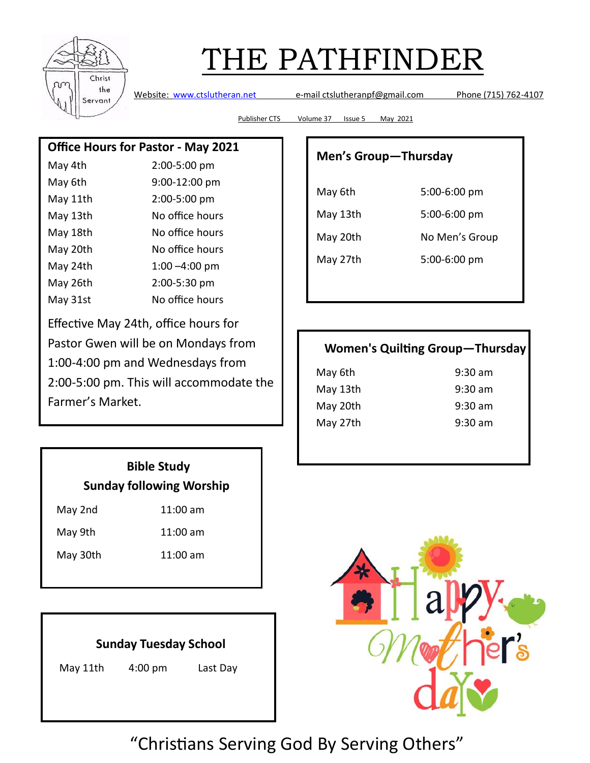

Website: [www.ctslutheran.net](http://www.ctslutheran.net/) e-mail ctslutheranpf@gmail.com Phone (715) 762-4107

Publisher CTS Volume 37 Issue 5 May 2021

#### **Office Hours for Pastor - May 2021**

| May 4th  | 2:00-5:00 pm     |
|----------|------------------|
| May 6th  | 9:00-12:00 pm    |
| May 11th | 2:00-5:00 pm     |
| May 13th | No office hours  |
| May 18th | No office hours  |
| May 20th | No office hours  |
| May 24th | $1:00 - 4:00$ pm |
| May 26th | 2:00-5:30 pm     |
| May 31st | No office hours  |

Effective May 24th, office hours for Pastor Gwen will be on Mondays from 1:00-4:00 pm and Wednesdays from 2:00-5:00 pm. This will accommodate the Farmer's Market.

#### **Men's Group—Thursday**

| May 6th  | 5:00-6:00 pm   |  |
|----------|----------------|--|
| May 13th | 5:00-6:00 pm   |  |
| May 20th | No Men's Group |  |
| May 27th | 5:00-6:00 pm   |  |

### **Women's Quilting Group—Thursday**

| May 6th  | $9:30$ am |
|----------|-----------|
| May 13th | $9:30$ am |
| May 20th | $9:30$ am |
| May 27th | $9:30$ am |
|          |           |

### **Bible Study Sunday following Worship**

| May 2nd | 11:00 am |
|---------|----------|
|         |          |

May 9th 11:00 am

May 30th 11:00 am

## **Sunday Tuesday School**

May 11th 4:00 pm Last Day

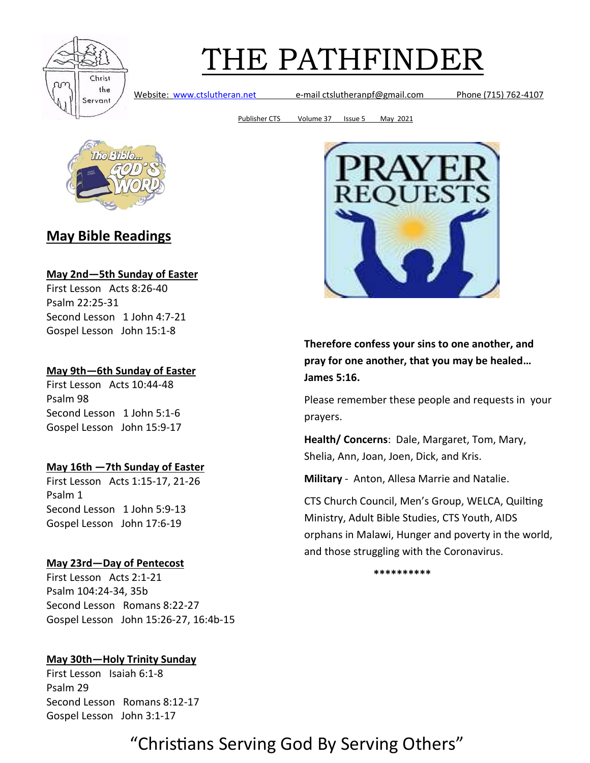

Website: [www.ctslutheran.net](http://www.ctslutheran.net/) e-mail ctslutheranpf@gmail.com Phone (715) 762-4107

Publisher CTS Volume 37 Issue 5 May 2021



### **May Bible Readings**

#### **May 2nd—5th Sunday of Easter**

First Lesson Acts 8:26-40 Psalm 22:25-31 Second Lesson 1 John 4:7-21 Gospel Lesson John 15:1-8

#### **May 9th—6th Sunday of Easter**

First Lesson Acts 10:44-48 Psalm 98 Second Lesson 1 John 5:1-6 Gospel Lesson John 15:9-17

#### **May 16th —7th Sunday of Easter**

First Lesson Acts 1:15-17, 21-26 Psalm 1 Second Lesson 1 John 5:9-13 Gospel Lesson John 17:6-19

#### **May 23rd—Day of Pentecost**

First Lesson Acts 2:1-21 Psalm 104:24-34, 35b Second Lesson Romans 8:22-27 Gospel Lesson John 15:26-27, 16:4b-15

#### **May 30th—Holy Trinity Sunday**

First Lesson Isaiah 6:1-8 Psalm 29 Second Lesson Romans 8:12-17 Gospel Lesson John 3:1-17



**Therefore confess your sins to one another, and pray for one another, that you may be healed… James 5:16.**

Please remember these people and requests in your prayers.

**Health/ Concerns**: Dale, Margaret, Tom, Mary, Shelia, Ann, Joan, Joen, Dick, and Kris.

**Military** - Anton, Allesa Marrie and Natalie.

CTS Church Council, Men's Group, WELCA, Quilting Ministry, Adult Bible Studies, CTS Youth, AIDS orphans in Malawi, Hunger and poverty in the world, and those struggling with the Coronavirus.

**\*\*\*\*\*\*\*\*\*\***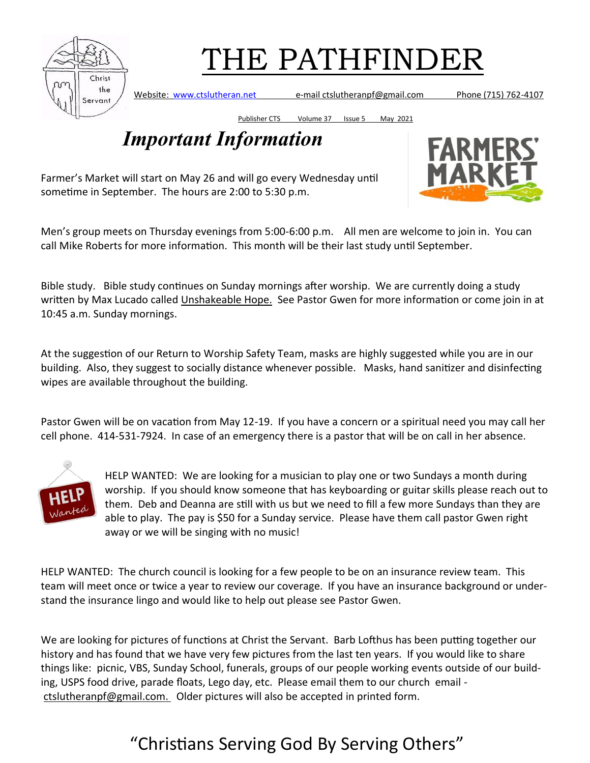

Website: [www.ctslutheran.net](http://www.ctslutheran.net/) e-mail ctslutheranpf@gmail.com Phone (715) 762-4107

Publisher CTS Volume 37 Issue 5 May 2021

## *Important Information*

**FARMERS MARKE** 

Farmer's Market will start on May 26 and will go every Wednesday until sometime in September. The hours are 2:00 to 5:30 p.m.

Men's group meets on Thursday evenings from 5:00-6:00 p.m. All men are welcome to join in. You can call Mike Roberts for more information. This month will be their last study until September.

Bible study. Bible study continues on Sunday mornings after worship. We are currently doing a study written by Max Lucado called Unshakeable Hope. See Pastor Gwen for more information or come join in at 10:45 a.m. Sunday mornings.

At the suggestion of our Return to Worship Safety Team, masks are highly suggested while you are in our building. Also, they suggest to socially distance whenever possible. Masks, hand sanitizer and disinfecting wipes are available throughout the building.

Pastor Gwen will be on vacation from May 12-19. If you have a concern or a spiritual need you may call her cell phone. 414-531-7924. In case of an emergency there is a pastor that will be on call in her absence.



HELP WANTED: We are looking for a musician to play one or two Sundays a month during worship. If you should know someone that has keyboarding or guitar skills please reach out to them. Deb and Deanna are still with us but we need to fill a few more Sundays than they are able to play. The pay is \$50 for a Sunday service. Please have them call pastor Gwen right away or we will be singing with no music!

HELP WANTED: The church council is looking for a few people to be on an insurance review team. This team will meet once or twice a year to review our coverage. If you have an insurance background or understand the insurance lingo and would like to help out please see Pastor Gwen.

We are looking for pictures of functions at Christ the Servant. Barb Lofthus has been putting together our history and has found that we have very few pictures from the last ten years. If you would like to share things like: picnic, VBS, Sunday School, funerals, groups of our people working events outside of our building, USPS food drive, parade floats, Lego day, etc. Please email them to our church email ctslutheranpf@gmail.com. Older pictures will also be accepted in printed form.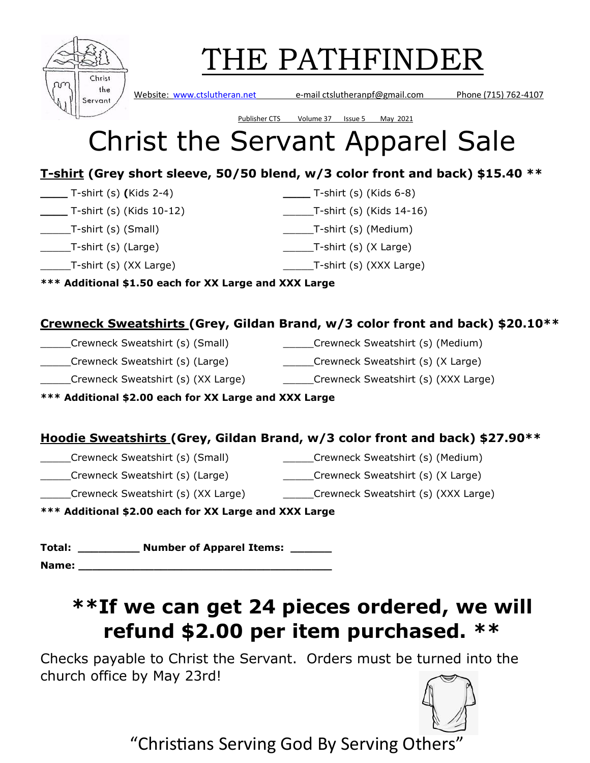| Christ<br>the<br>Servant |
|--------------------------|

Website: [www.ctslutheran.net](http://www.ctslutheran.net/) e-mail ctslutheranpf@gmail.com Phone (715) 762-4107

## Publisher CTS Volume 37 Issue 5 May 2021 Christ the Servant Apparel Sale

### **T-shirt (Grey short sleeve, 50/50 blend, w/3 color front and back) \$15.40 \*\***

**\_\_\_\_** T-shirt (s) **(**Kids 2-4) **\_\_\_\_** T-shirt (s) (Kids 6-8)

- **\_\_\_\_** T-shirt (s) (Kids 10-12) \_\_\_\_\_T-shirt (s) (Kids 14-16)
- \_\_\_\_\_T-shirt (s) (Small) \_\_\_\_\_T-shirt (s) (Medium)
- \_\_\_\_\_T-shirt (s) (Large) \_\_\_\_\_T-shirt (s) (X Large)
- \_\_\_\_\_T-shirt (s) (XX Large) \_\_\_\_\_T-shirt (s) (XXX Large)

**\*\*\* Additional \$1.50 each for XX Large and XXX Large**

### **Crewneck Sweatshirts (Grey, Gildan Brand, w/3 color front and back) \$20.10\*\***

- \_\_\_\_\_Crewneck Sweatshirt (s) (Small) \_\_\_\_\_Crewneck Sweatshirt (s) (Medium)
- \_\_\_\_\_Crewneck Sweatshirt (s) (Large) \_\_\_\_\_Crewneck Sweatshirt (s) (X Large)
	-
	- \_\_\_\_\_Crewneck Sweatshirt (s) (XX Large) \_\_\_\_\_Crewneck Sweatshirt (s) (XXX Large)
- 

**\*\*\* Additional \$2.00 each for XX Large and XXX Large**

## **Hoodie Sweatshirts (Grey, Gildan Brand, w/3 color front and back) \$27.90\*\***

- \_\_\_\_\_Crewneck Sweatshirt (s) (Small) \_\_\_\_\_Crewneck Sweatshirt (s) (Medium)
- \_\_\_\_\_Crewneck Sweatshirt (s) (Large) \_\_\_\_\_Crewneck Sweatshirt (s) (X Large)
- \_\_\_\_\_Crewneck Sweatshirt (s) (XX Large) \_\_\_\_\_Crewneck Sweatshirt (s) (XXX Large)

**\*\*\* Additional \$2.00 each for XX Large and XXX Large**

**Total: \_\_\_\_\_\_\_\_\_ Number of Apparel Items: \_\_\_\_\_\_**

**Name: \_\_\_\_\_\_\_\_\_\_\_\_\_\_\_\_\_\_\_\_\_\_\_\_\_\_\_\_\_\_\_\_\_\_\_\_\_**

## **\*\*If we can get 24 pieces ordered, we will refund \$2.00 per item purchased. \*\***

Checks payable to Christ the Servant. Orders must be turned into the church office by May 23rd!